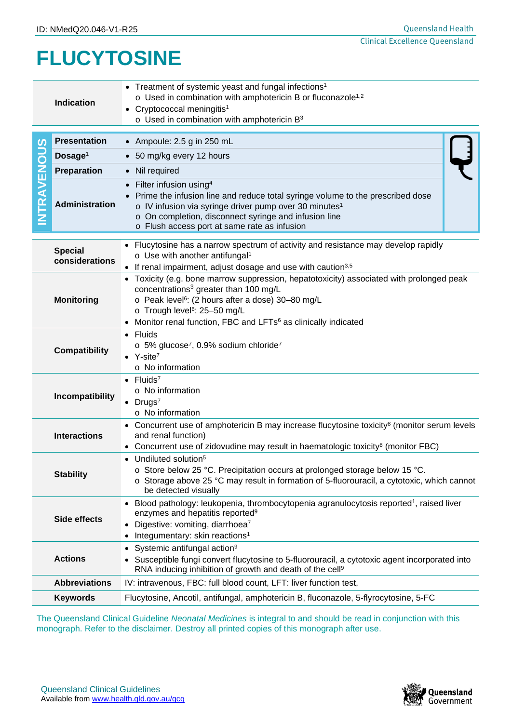## **FLUCYTOSINE**

|                                                                                                                                                                                                                | <b>Indication</b>                                                                                                                                                                                                                                    | • Treatment of systemic yeast and fungal infections <sup>1</sup><br>o Used in combination with amphotericin B or fluconazole <sup>1,2</sup><br>• Cryptococcal meningitis <sup>1</sup><br>$\circ$ Used in combination with amphotericin B <sup>3</sup>                                                                                     |  |  |  |
|----------------------------------------------------------------------------------------------------------------------------------------------------------------------------------------------------------------|------------------------------------------------------------------------------------------------------------------------------------------------------------------------------------------------------------------------------------------------------|-------------------------------------------------------------------------------------------------------------------------------------------------------------------------------------------------------------------------------------------------------------------------------------------------------------------------------------------|--|--|--|
| S<br><b>INTRAVENOU</b>                                                                                                                                                                                         | <b>Presentation</b>                                                                                                                                                                                                                                  | • Ampoule: $2.5$ g in $250$ mL                                                                                                                                                                                                                                                                                                            |  |  |  |
|                                                                                                                                                                                                                | Dosage <sup>1</sup>                                                                                                                                                                                                                                  | • 50 mg/kg every 12 hours                                                                                                                                                                                                                                                                                                                 |  |  |  |
|                                                                                                                                                                                                                | Preparation                                                                                                                                                                                                                                          | • Nil required                                                                                                                                                                                                                                                                                                                            |  |  |  |
|                                                                                                                                                                                                                | <b>Administration</b>                                                                                                                                                                                                                                | Filter infusion using <sup>4</sup><br>Prime the infusion line and reduce total syringe volume to the prescribed dose<br>o IV infusion via syringe driver pump over 30 minutes <sup>1</sup><br>o On completion, disconnect syringe and infusion line<br>o Flush access port at same rate as infusion                                       |  |  |  |
|                                                                                                                                                                                                                | Flucytosine has a narrow spectrum of activity and resistance may develop rapidly<br><b>Special</b><br>$\circ$ Use with another antifungal <sup>1</sup><br>considerations<br>• If renal impairment, adjust dosage and use with caution <sup>3,5</sup> |                                                                                                                                                                                                                                                                                                                                           |  |  |  |
|                                                                                                                                                                                                                | <b>Monitoring</b>                                                                                                                                                                                                                                    | • Toxicity (e.g. bone marrow suppression, hepatotoxicity) associated with prolonged peak<br>concentrations <sup>3</sup> greater than 100 mg/L<br>o Peak level <sup>6</sup> : (2 hours after a dose) 30-80 mg/L<br>o Trough level <sup>6</sup> : 25-50 mg/L<br>• Monitor renal function, FBC and LFTs <sup>6</sup> as clinically indicated |  |  |  |
|                                                                                                                                                                                                                | <b>Compatibility</b>                                                                                                                                                                                                                                 | • Fluids<br>$\circ$ 5% glucose <sup>7</sup> , 0.9% sodium chloride <sup>7</sup><br>$Y\text{-site}^7$<br>$\circ$ No information                                                                                                                                                                                                            |  |  |  |
|                                                                                                                                                                                                                | Incompatibility                                                                                                                                                                                                                                      | $\bullet$ Fluids <sup>7</sup><br>$\circ$ No information<br>$\bullet$ Drugs <sup>7</sup><br>o No information                                                                                                                                                                                                                               |  |  |  |
| <b>Interactions</b>                                                                                                                                                                                            |                                                                                                                                                                                                                                                      | • Concurrent use of amphotericin B may increase flucytosine toxicity <sup>8</sup> (monitor serum levels<br>and renal function)<br>• Concurrent use of zidovudine may result in haematologic toxicity <sup>8</sup> (monitor FBC)                                                                                                           |  |  |  |
| <b>Stability</b>                                                                                                                                                                                               |                                                                                                                                                                                                                                                      | • Undiluted solution <sup>5</sup><br>o Store below 25 °C. Precipitation occurs at prolonged storage below 15 °C.<br>$\circ$ Storage above 25 °C may result in formation of 5-fluorouracil, a cytotoxic, which cannot<br>be detected visually                                                                                              |  |  |  |
| <b>Side effects</b>                                                                                                                                                                                            |                                                                                                                                                                                                                                                      | • Blood pathology: leukopenia, thrombocytopenia agranulocytosis reported <sup>1</sup> , raised liver<br>enzymes and hepatitis reported <sup>9</sup><br>• Digestive: vomiting, diarrhoea7<br>• Integumentary: skin reactions <sup>1</sup>                                                                                                  |  |  |  |
|                                                                                                                                                                                                                | <b>Actions</b>                                                                                                                                                                                                                                       | Systemic antifungal action <sup>9</sup><br>$\bullet$<br>• Susceptible fungi convert flucytosine to 5-fluorouracil, a cytotoxic agent incorporated into<br>RNA inducing inhibition of growth and death of the cell <sup>9</sup>                                                                                                            |  |  |  |
|                                                                                                                                                                                                                | <b>Abbreviations</b>                                                                                                                                                                                                                                 | IV: intravenous, FBC: full blood count, LFT: liver function test,                                                                                                                                                                                                                                                                         |  |  |  |
|                                                                                                                                                                                                                | <b>Keywords</b>                                                                                                                                                                                                                                      | Flucytosine, Ancotil, antifungal, amphotericin B, fluconazole, 5-flyrocytosine, 5-FC                                                                                                                                                                                                                                                      |  |  |  |
| The Queensland Clinical Guideline Neonatal Medicines is integral to and should be read in conjunction with this<br>monograph. Refer to the disclaimer. Destroy all printed copies of this monograph after use. |                                                                                                                                                                                                                                                      |                                                                                                                                                                                                                                                                                                                                           |  |  |  |